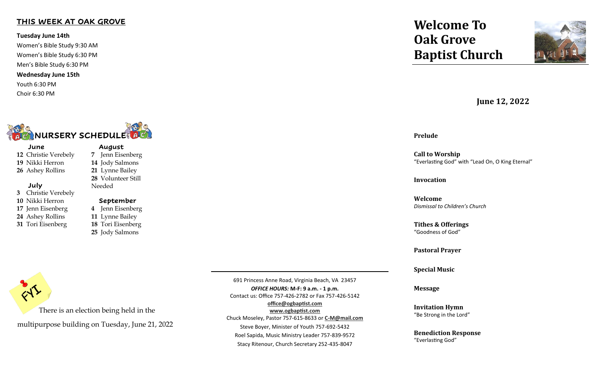## **THIS WEEK AT OAK GROVE**

**Tuesday June 14th**

Women's Bible Study 9:30 AM Women's Bible Study 6:30 PM Men's Bible Study 6:30 PM

#### **Wednesday June 15th**

Youth 6:30 PM

Choir 6:30 PM



 **June** Christie Verebely Nikki Herron Ashey Rollins

 Christie Verebely Nikki Herron Jenn Eisenberg Ashey Rollins Tori Eisenberg

 **July**

 **August**  Jenn Eisenberg Jody Salmons Lynne Bailey Volunteer Still Needed

#### **September**

 Jenn Eisenberg Lynne Bailey Tori Eisenberg Jody Salmons

# **Welcome To Oak Grove Baptist Church**



**June 12, 2022**

**Prelude**

**Call to Worship** "Everlasting God" with "Lead On, O King Eternal"

**Invocation**

**Welcome**  *Dismissal to Children's Church*

**Tithes & Offerings** "Goodness of God"

**Pastoral Prayer**

**Special Music**

**Message**

**Invitation Hymn** "Be Strong in the Lord"

**Benediction Response** "Everlasting God"



There is an election being held in the

multipurpose building on Tuesday, June 21, 2022

691 Princess Anne Road, Virginia Beach, VA 23457 *OFFICE HOURS:* **M-F: 9 a.m. - 1 p.m.** Contact us: Office 757-426-2782 or Fax 757-426-5142 **office@ogbaptist.com www.ogbaptist.com** Chuck Moseley, Pastor 757-615-8633 or **C-[M@mail.com](mailto:C-M@mail.com)** Steve Boyer, Minister of Youth 757-692-5432 Roel Sapida, Music Ministry Leader 757-839-9572 Stacy Ritenour, Church Secretary 252-435-8047